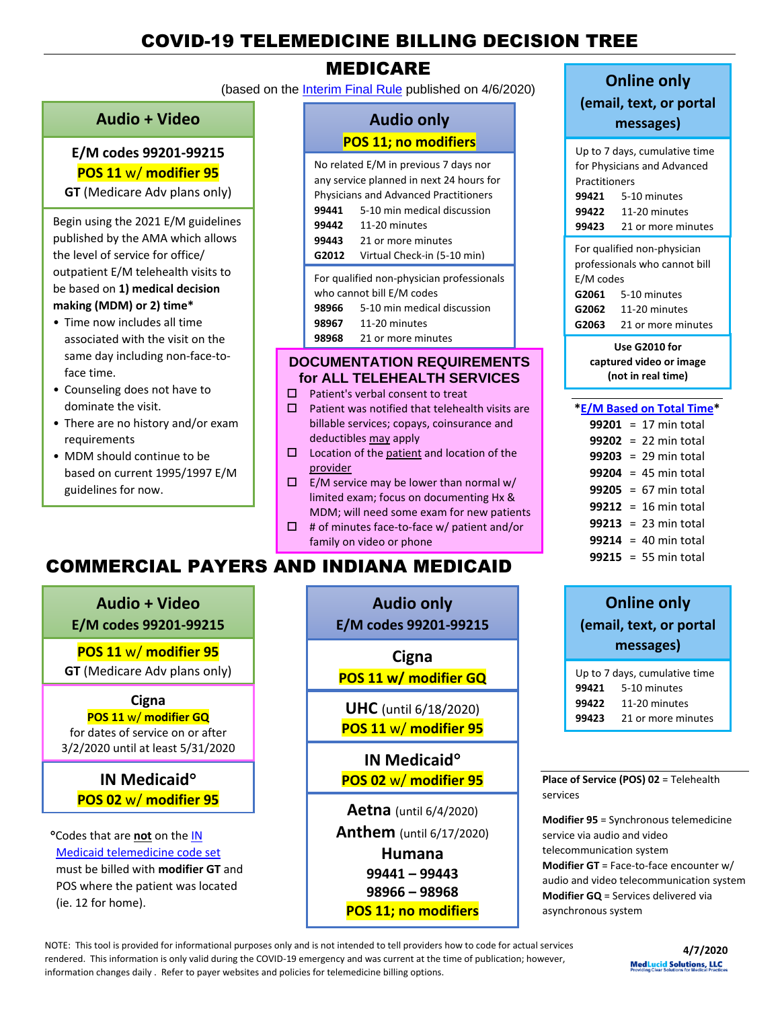# COVID-19 TELEMEDICINE BILLING DECISION TREE

## MEDICARE

(based on the [Interim Final Rule](https://www.federalregister.gov/documents/2020/04/06/2020-06990/medicare-and-medicaid-programs-policy-and-regulatory-revisions-in-response-to-the-covid-19-public) published on 4/6/2020)

#### **Audio + Video**

#### **E/M codes 99201-99215 POS 11** w/ **modifier 95**

**GT** (Medicare Adv plans only)

Begin using the 2021 E/M guidelines published by the AMA which allows the level of service for office/ outpatient E/M telehealth visits to be based on **1) medical decision making (MDM) or 2) time\***

- Time now includes all time associated with the visit on the same day including non-face-toface time.
- Counseling does not have to dominate the visit.
- There are no history and/or exam requirements
- MDM should continue to be based on current 1995/1997 E/M guidelines for now.

### **Audio only POS 11; no modifiers**

| No related E/M in previous 7 days nor                                  |                             |  |  |
|------------------------------------------------------------------------|-----------------------------|--|--|
| any service planned in next 24 hours for                               |                             |  |  |
| <b>Physicians and Advanced Practitioners</b>                           |                             |  |  |
| 99441                                                                  | 5-10 min medical discussion |  |  |
| 99442                                                                  | 11-20 minutes               |  |  |
| 99443                                                                  | 21 or more minutes          |  |  |
| G2012                                                                  | Virtual Check-in (5-10 min) |  |  |
| For qualified non-physician professionals<br>who cannot bill E/M codes |                             |  |  |
| 98966                                                                  | 5-10 min medical discussion |  |  |
| 98967                                                                  | $11-20$ minutes             |  |  |

**98968** 21 or more minutes

#### **DOCUMENTATION REQUIREMENTS for ALL TELEHEALTH SERVICES**

- $\square$  Patient's verbal consent to treat
- $\square$  Patient was notified that telehealth visits are billable services; copays, coinsurance and deductibles may apply
- $\square$  Location of the patient and location of the provider
- $\square$  E/M service may be lower than normal w/ limited exam; focus on documenting Hx & MDM; will need some exam for new patients
- $\Box$  # of minutes face-to-face w/ patient and/or family on video or phone

# COMMERCIAL PAYERS AND INDIANA MEDICAID

**Audio + Video**

**E/M codes 99201-99215**

**POS 11** w/ **modifier 95**

**GT** (Medicare Adv plans only)

## **Cigna**

#### **POS 11** w/ **modifier GQ**

for dates of service on or after 3/2/2020 until at least 5/31/2020

## **IN Medicaid POS 02** w/ **modifier 95**

Codes that are **not** on the [IN](http://provider.indianamedicaid.com/ihcp/Publications/providerCodes/Telemedicine_Services_Codes.pdf)  [Medicaid telemedicine code set](http://provider.indianamedicaid.com/ihcp/Publications/providerCodes/Telemedicine_Services_Codes.pdf) must be billed with **modifier GT** and POS where the patient was located (ie. 12 for home).

**Audio only**

**E/M codes 99201-99215**

**Cigna**

**POS 11 w/ modifier GQ**

**UHC** (until 6/18/2020) **POS 11** w/ **modifier 95**

**IN Medicaid POS 02** w/ **modifier 95**

**Aetna** (until 6/4/2020) **Anthem** (until 6/17/2020) **Humana 99441 – 99443 98966 – 98968 POS 11; no modifiers**

# **Online only**

**(email, text, or portal messages)**

| Up to 7 days, cumulative time |                                 |  |  |
|-------------------------------|---------------------------------|--|--|
| for Physicians and Advanced   |                                 |  |  |
| Practitioners                 |                                 |  |  |
|                               | 99421 5-10 minutes              |  |  |
|                               | 99422 11-20 minutes             |  |  |
|                               | 99423 21 or more minutes        |  |  |
| For qualified non-physician   |                                 |  |  |
| professionals who cannot bill |                                 |  |  |
| E/M codes                     |                                 |  |  |
|                               | <b>G2061</b> 5-10 minutes       |  |  |
|                               | <b>G2062</b> 11-20 minutes      |  |  |
|                               | <b>G2063</b> 21 or more minutes |  |  |

| Use G2010 for           |  |  |
|-------------------------|--|--|
| captured video or image |  |  |
| (not in real time)      |  |  |

#### **[\\*E/M Based on Total Time\\*](https://www.cms.gov/Medicare/Medicare-Fee-for-Service-Payment/PhysicianFeeSched/PFS-Federal-Regulation-Notices-Items/CMS-1715-F)**

|  | 99201 = 17 min total           |
|--|--------------------------------|
|  | 99202 = 22 min total           |
|  | $99203 = 29 \text{ min total}$ |
|  | $99204 = 45$ min total         |
|  | 99205 = $67$ min total         |
|  | $99212 = 16$ min total         |
|  | $99213 = 23 \text{ min total}$ |
|  | $99214 = 40$ min total         |
|  | $99215 = 55$ min total         |

## **Online only (email, text, or portal messages)**

| Up to 7 days, cumulative time |                    |  |  |  |
|-------------------------------|--------------------|--|--|--|
| 99421                         | 5-10 minutes       |  |  |  |
| 99422                         | 11-20 minutes      |  |  |  |
| 99423                         | 21 or more minutes |  |  |  |

**Place of Service (POS) 02** = Telehealth services

**Modifier 95** = Synchronous telemedicine service via audio and video telecommunication system **Modifier GT** = Face-to-face encounter w/ audio and video telecommunication system **Modifier GQ** = Services delivered via asynchronous system

NOTE: This tool is provided for informational purposes only and is not intended to tell providers how to code for actual services rendered. This information is only valid during the COVID-19 emergency and was current at the time of publication; however, information changes daily . Refer to payer websites and policies for telemedicine billing options.

**4/7/2020 MedLucid Solutions, LLC**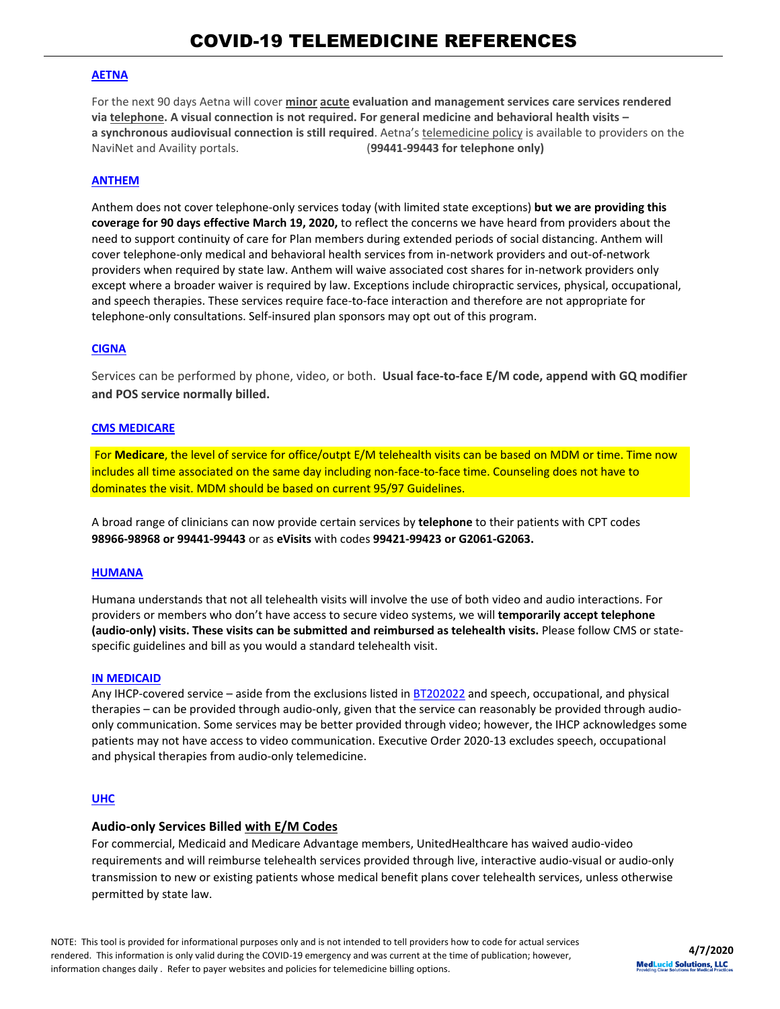#### **[AETNA](https://www.aetna.com/health-care-professionals/provider-education-manuals/covid-faq.html#acc_link_content_section_responsivegrid_copy__responsivegrid_accordion_12)**

For the next 90 days Aetna will cover **minor acute evaluation and management services care services rendered via telephone. A visual connection is not required. For general medicine and behavioral health visits – a synchronous audiovisual connection is still required**. Aetna's telemedicine policy is available to providers on the NaviNet and Availity portals. (**99441-99443 for telephone only)**

#### **[ANTHEM](https://providernews.anthem.com/georgia/article/information-from-anthem-for-care-providers-about-covid-19-4)**

Anthem does not cover telephone-only services today (with limited state exceptions) **but we are providing this coverage for 90 days effective March 19, 2020,** to reflect the concerns we have heard from providers about the need to support continuity of care for Plan members during extended periods of social distancing. Anthem will cover telephone-only medical and behavioral health services from in-network providers and out-of-network providers when required by state law. Anthem will waive associated cost shares for in-network providers only except where a broader waiver is required by law. Exceptions include chiropractic services, physical, occupational, and speech therapies. These services require face-to-face interaction and therefore are not appropriate for telephone-only consultations. Self-insured plan sponsors may opt out of this program.

#### **[CIGNA](https://static.cigna.com/assets/chcp/resourceLibrary/medicalResourcesList/medicalDoingBusinessWithCigna/medicalDbwcCOVID-19.html)**

Services can be performed by phone, video, or both. **Usual face-to-face E/M code, append with GQ modifier and POS service normally billed.**

#### **[CMS MEDICARE](https://www.cms.gov/files/document/covid-19-physicians-and-practitioners.pdf)**

For **Medicare**, the level of service for office/outpt E/M telehealth visits can be based on MDM or time. Time now includes all time associated on the same day including non-face-to-face time. Counseling does not have to dominates the visit. MDM should be based on current 95/97 Guidelines.

A broad range of clinicians can now provide certain services by **telephone** to their patients with CPT codes **98966-98968 or 99441-99443** or as **eVisits** with codes **99421-99423 or G2061-G2063.**

#### **[HUMANA](https://www.humana.com/provider/coronavirus/telemedicine)**

Humana understands that not all telehealth visits will involve the use of both video and audio interactions. For providers or members who don't have access to secure video systems, we will **temporarily accept telephone (audio-only) visits. These visits can be submitted and reimbursed as telehealth visits.** Please follow CMS or statespecific guidelines and bill as you would a standard telehealth visit.

#### **[IN MEDICAID](http://provider.indianamedicaid.com/ihcp/Bulletins/BT202034.pdf)**

Any IHCP-covered service – aside from the exclusions listed in **BT202022** and speech, occupational, and physical therapies – can be provided through audio-only, given that the service can reasonably be provided through audioonly communication. Some services may be better provided through video; however, the IHCP acknowledges some patients may not have access to video communication. Executive Order 2020-13 excludes speech, occupational and physical therapies from audio-only telemedicine.

#### **[UHC](https://www.uhcprovider.com/en/resource-library/news/Novel-Coronavirus-COVID-19/covid19-telehealth-services/covid19-telehealth-services-telehealth.html)**

#### **Audio-only Services Billed with E/M Codes**

For commercial, Medicaid and Medicare Advantage members, UnitedHealthcare has waived audio-video requirements and will reimburse telehealth services provided through live, interactive audio-visual or audio-only transmission to new or existing patients whose medical benefit plans cover telehealth services, unless otherwise permitted by state law.

NOTE: This tool is provided for informational purposes only and is not intended to tell providers how to code for actual services rendered. This information is only valid during the COVID-19 emergency and was current at the time of publication; however, information changes daily . Refer to payer websites and policies for telemedicine billing options.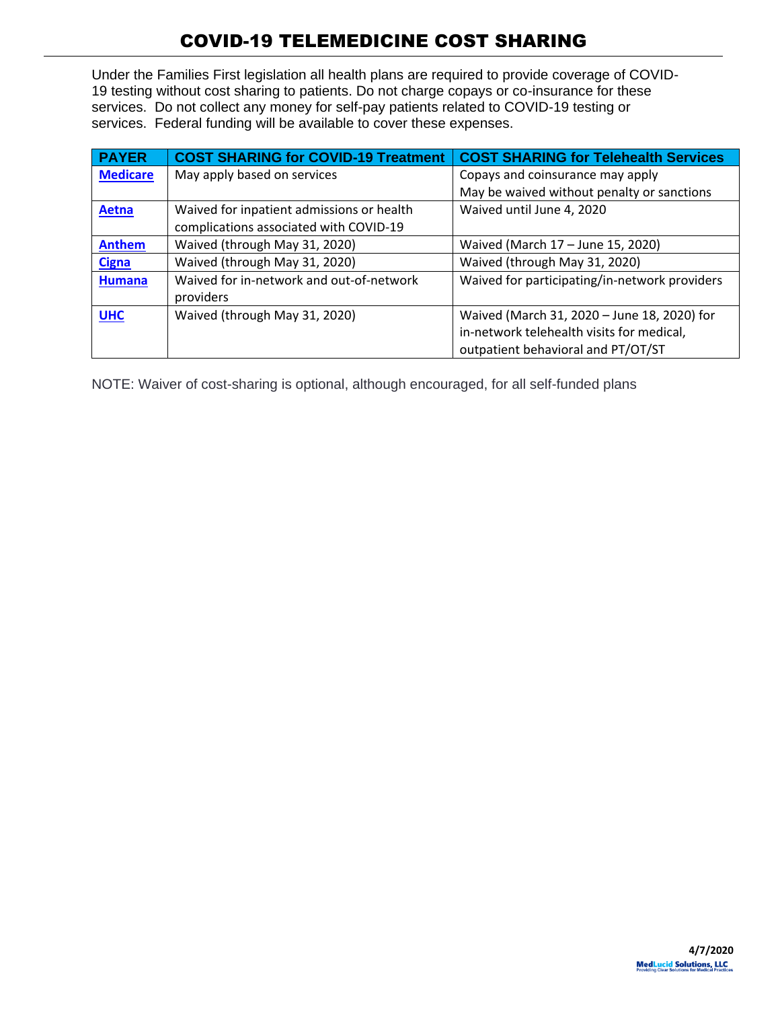Under the Families First legislation all health plans are required to provide coverage of COVID-19 testing without cost sharing to patients. Do not charge copays or co-insurance for these services. Do not collect any money for self-pay patients related to COVID-19 testing or services. Federal funding will be available to cover these expenses.

| <b>PAYER</b>    | <b>COST SHARING for COVID-19 Treatment</b> | <b>COST SHARING for Telehealth Services</b>   |
|-----------------|--------------------------------------------|-----------------------------------------------|
| <b>Medicare</b> | May apply based on services                | Copays and coinsurance may apply              |
|                 |                                            | May be waived without penalty or sanctions    |
| Aetna           | Waived for inpatient admissions or health  | Waived until June 4, 2020                     |
|                 | complications associated with COVID-19     |                                               |
| <b>Anthem</b>   | Waived (through May 31, 2020)              | Waived (March 17 - June 15, 2020)             |
| <b>Cigna</b>    | Waived (through May 31, 2020)              | Waived (through May 31, 2020)                 |
| <b>Humana</b>   | Waived for in-network and out-of-network   | Waived for participating/in-network providers |
|                 | providers                                  |                                               |
| <b>UHC</b>      | Waived (through May 31, 2020)              | Waived (March 31, 2020 - June 18, 2020) for   |
|                 |                                            | in-network telehealth visits for medical,     |
|                 |                                            | outpatient behavioral and PT/OT/ST            |

NOTE: Waiver of cost-sharing is optional, although encouraged, for all self-funded plans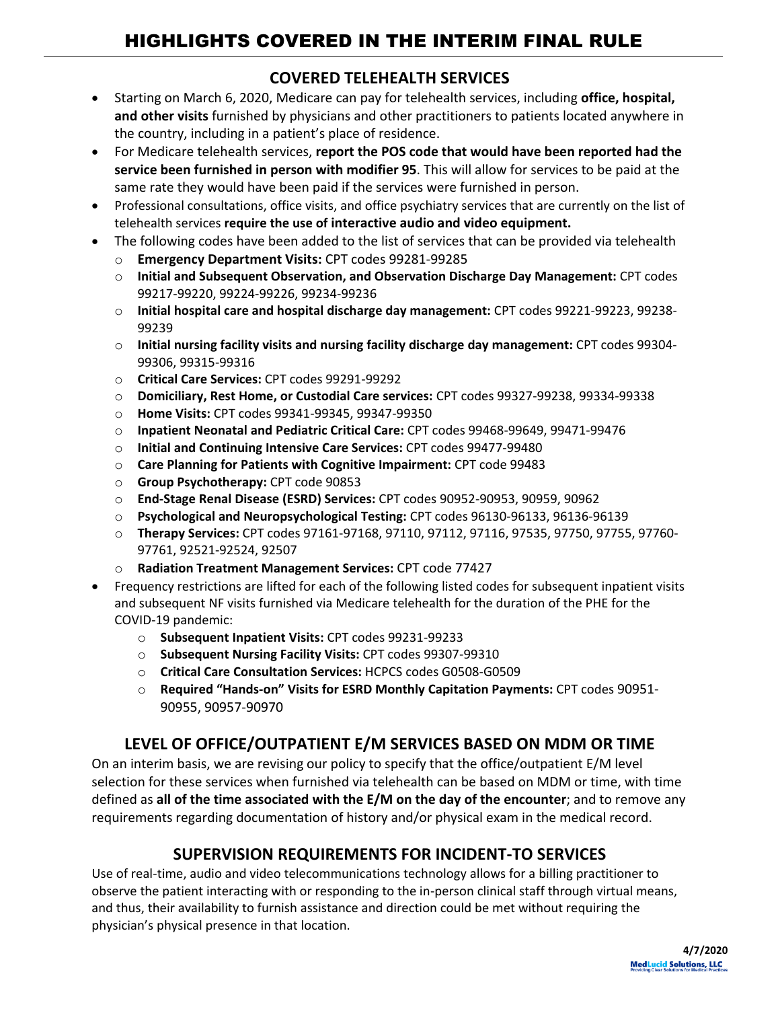## **COVERED TELEHEALTH SERVICES**

- Starting on March 6, 2020, Medicare can pay for telehealth services, including **office, hospital, and other visits** furnished by physicians and other practitioners to patients located anywhere in the country, including in a patient's place of residence.
- For Medicare telehealth services, **report the POS code that would have been reported had the service been furnished in person with modifier 95**. This will allow for services to be paid at the same rate they would have been paid if the services were furnished in person.
- Professional consultations, office visits, and office psychiatry services that are currently on the list of telehealth services **require the use of interactive audio and video equipment.**
- The following codes have been added to the list of services that can be provided via telehealth
	- o **Emergency Department Visits:** CPT codes 99281-99285
	- o **Initial and Subsequent Observation, and Observation Discharge Day Management:** CPT codes 99217-99220, 99224-99226, 99234-99236
	- o **Initial hospital care and hospital discharge day management:** CPT codes 99221-99223, 99238- 99239
	- o **Initial nursing facility visits and nursing facility discharge day management:** CPT codes 99304- 99306, 99315-99316
	- o **Critical Care Services:** CPT codes 99291-99292
	- o **Domiciliary, Rest Home, or Custodial Care services:** CPT codes 99327-99238, 99334-99338
	- o **Home Visits:** CPT codes 99341-99345, 99347-99350
	- o **Inpatient Neonatal and Pediatric Critical Care:** CPT codes 99468-99649, 99471-99476
	- o **Initial and Continuing Intensive Care Services:** CPT codes 99477-99480
	- o **Care Planning for Patients with Cognitive Impairment:** CPT code 99483
	- o **Group Psychotherapy:** CPT code 90853
	- o **End-Stage Renal Disease (ESRD) Services:** CPT codes 90952-90953, 90959, 90962
	- o **Psychological and Neuropsychological Testing:** CPT codes 96130-96133, 96136-96139
	- o **Therapy Services:** CPT codes 97161-97168, 97110, 97112, 97116, 97535, 97750, 97755, 97760- 97761, 92521-92524, 92507
	- o **Radiation Treatment Management Services:** CPT code 77427
- Frequency restrictions are lifted for each of the following listed codes for subsequent inpatient visits and subsequent NF visits furnished via Medicare telehealth for the duration of the PHE for the COVID-19 pandemic:
	- o **Subsequent Inpatient Visits:** CPT codes 99231-99233
	- o **Subsequent Nursing Facility Visits:** CPT codes 99307-99310
	- o **Critical Care Consultation Services:** HCPCS codes G0508-G0509
	- o **Required "Hands-on" Visits for ESRD Monthly Capitation Payments:** CPT codes 90951- 90955, 90957-90970

## **LEVEL OF OFFICE/OUTPATIENT E/M SERVICES BASED ON MDM OR TIME**

On an interim basis, we are revising our policy to specify that the office/outpatient E/M level selection for these services when furnished via telehealth can be based on MDM or time, with time defined as **all of the time associated with the E/M on the day of the encounter**; and to remove any requirements regarding documentation of history and/or physical exam in the medical record.

## **SUPERVISION REQUIREMENTS FOR INCIDENT-TO SERVICES**

Use of real-time, audio and video telecommunications technology allows for a billing practitioner to observe the patient interacting with or responding to the in-person clinical staff through virtual means, and thus, their availability to furnish assistance and direction could be met without requiring the physician's physical presence in that location.